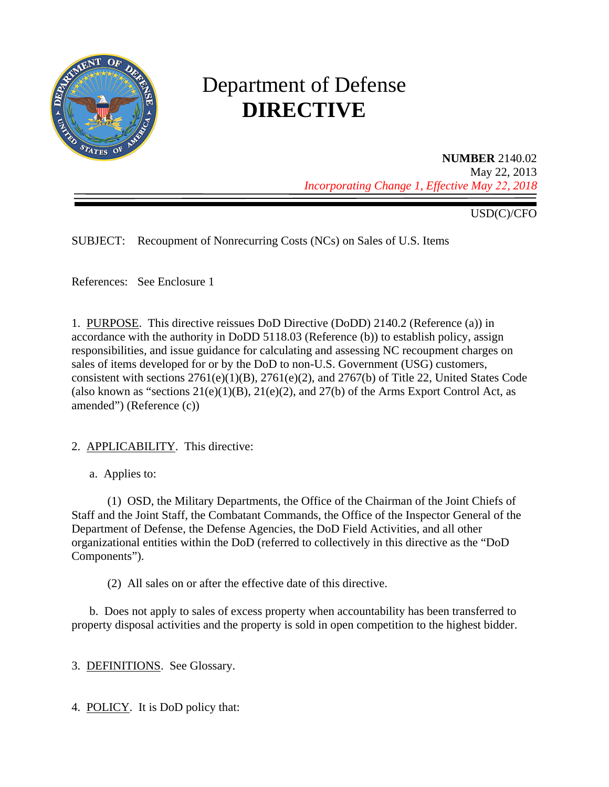

# Department of Defense **DIRECTIVE**

**NUMBER** 2140.02 May 22, 2013 *Incorporating Change 1, Effective May 22, 2018*

USD(C)/CFO

SUBJECT: Recoupment of Nonrecurring Costs (NCs) on Sales of U.S. Items

References: See Enclosure 1

1. PURPOSE. This directive reissues DoD Directive (DoDD) 2140.2 (Reference (a)) in accordance with the authority in DoDD 5118.03 (Reference (b)) to establish policy, assign responsibilities, and issue guidance for calculating and assessing NC recoupment charges on sales of items developed for or by the DoD to non-U.S. Government (USG) customers, consistent with sections 2761(e)(1)(B), 2761(e)(2), and 2767(b) of Title 22, United States Code (also known as "sections  $21(e)(1)(B)$ ,  $21(e)(2)$ , and  $27(b)$  of the Arms Export Control Act, as amended") (Reference (c))

## 2. APPLICABILITY. This directive:

a. Applies to:

(1) OSD, the Military Departments, the Office of the Chairman of the Joint Chiefs of Staff and the Joint Staff, the Combatant Commands, the Office of the Inspector General of the Department of Defense, the Defense Agencies, the DoD Field Activities, and all other organizational entities within the DoD (referred to collectively in this directive as the "DoD Components").

(2) All sales on or after the effective date of this directive.

b. Does not apply to sales of excess property when accountability has been transferred to property disposal activities and the property is sold in open competition to the highest bidder.

3. DEFINITIONS. See Glossary.

4. POLICY. It is DoD policy that: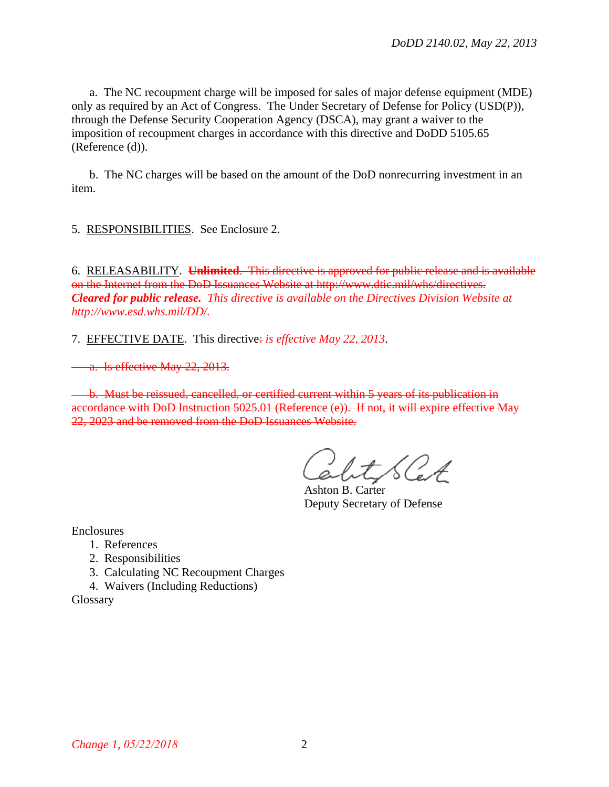a. The NC recoupment charge will be imposed for sales of major defense equipment (MDE) only as required by an Act of Congress. The Under Secretary of Defense for Policy (USD(P)), through the Defense Security Cooperation Agency (DSCA), may grant a waiver to the imposition of recoupment charges in accordance with this directive and DoDD 5105.65 (Reference (d)).

b. The NC charges will be based on the amount of the DoD nonrecurring investment in an item.

5. RESPONSIBILITIES. See Enclosure 2.

6. RELEASABILITY. **Unlimited**. This directive is approved for public release and is available on the Internet from the DoD Issuances Website at http://www.dtic.mil/whs/directives. *Cleared for public release. This directive is available on the Directives Division Website at [http://www.esd.whs.mil/DD/.](http://www.esd.whs.mil/DD/)*

7. EFFECTIVE DATE. This directive: *is effective May 22, 2013*.

a. Is effective May 22, 2013.

b. Must be reissued, cancelled, or certified current within 5 years of its publication in accordance with DoD Instruction 5025.01 (Reference (e)). If not, it will expire effective May 22, 2023 and be removed from the DoD Issuances Website.

ShtSCet

Ashton B. Carter Deputy Secretary of Defense

Enclosures

- 1. References
- 2. Responsibilities
- 3. Calculating NC Recoupment Charges
- 4. Waivers (Including Reductions)

Glossary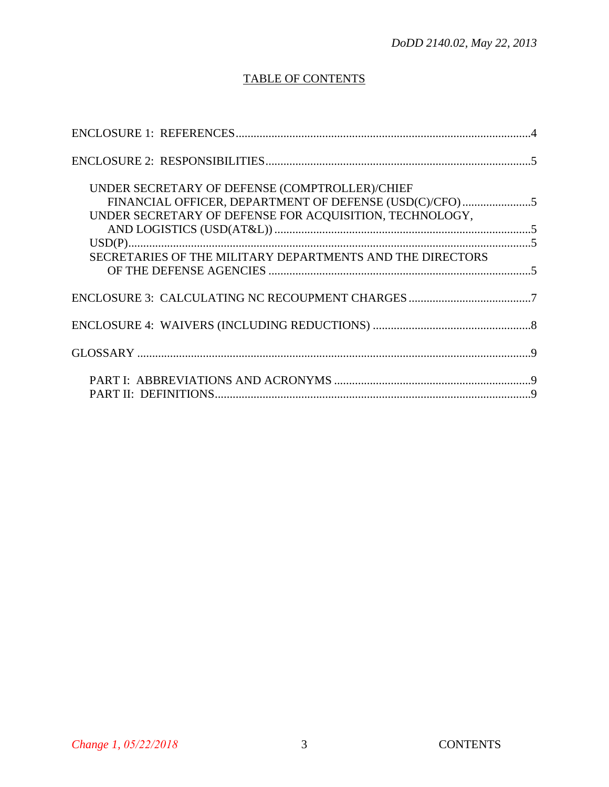# TABLE OF CONTENTS

| UNDER SECRETARY OF DEFENSE (COMPTROLLER)/CHIEF<br>UNDER SECRETARY OF DEFENSE FOR ACQUISITION, TECHNOLOGY, |  |
|-----------------------------------------------------------------------------------------------------------|--|
| SECRETARIES OF THE MILITARY DEPARTMENTS AND THE DIRECTORS                                                 |  |
|                                                                                                           |  |
|                                                                                                           |  |
|                                                                                                           |  |
|                                                                                                           |  |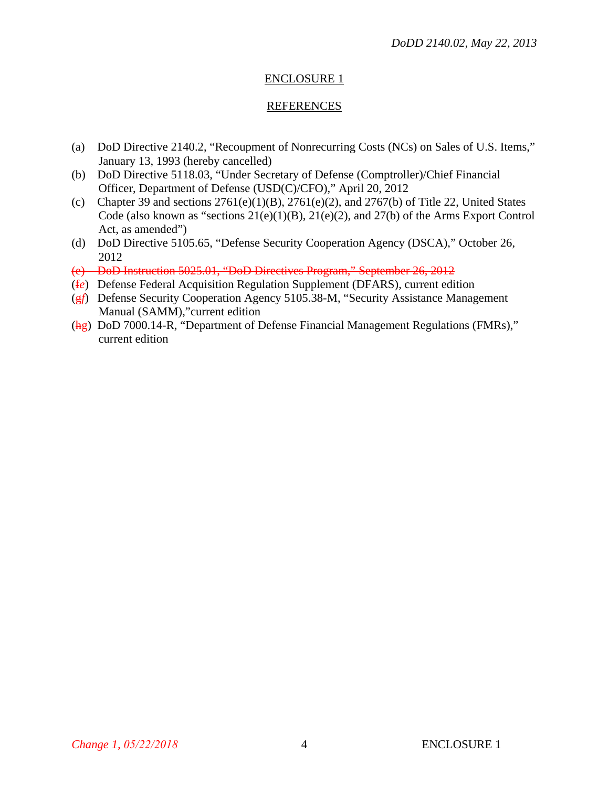# REFERENCES

- (a) DoD Directive 2140.2, "Recoupment of Nonrecurring Costs (NCs) on Sales of U.S. Items," January 13, 1993 (hereby cancelled)
- (b) DoD Directive 5118.03, "Under Secretary of Defense (Comptroller)/Chief Financial Officer, Department of Defense (USD(C)/CFO)," April 20, 2012
- (c) Chapter 39 and sections  $2761(e)(1)(B)$ ,  $2761(e)(2)$ , and  $2767(b)$  of Title 22, United States Code (also known as "sections  $21(e)(1)(B)$ ,  $21(e)(2)$ , and  $27(b)$  of the Arms Export Control Act, as amended")
- (d) DoD Directive 5105.65, "Defense Security Cooperation Agency (DSCA)," October 26, 2012
- (e) DoD Instruction 5025.01, "DoD Directives Program," September 26, 2012
- (f*e*) Defense Federal Acquisition Regulation Supplement (DFARS), current edition
- (g*f*) Defense Security Cooperation Agency 5105.38-M, "Security Assistance Management Manual (SAMM),"current edition
- (hg) DoD 7000.14-R, "Department of Defense Financial Management Regulations (FMRs)," current edition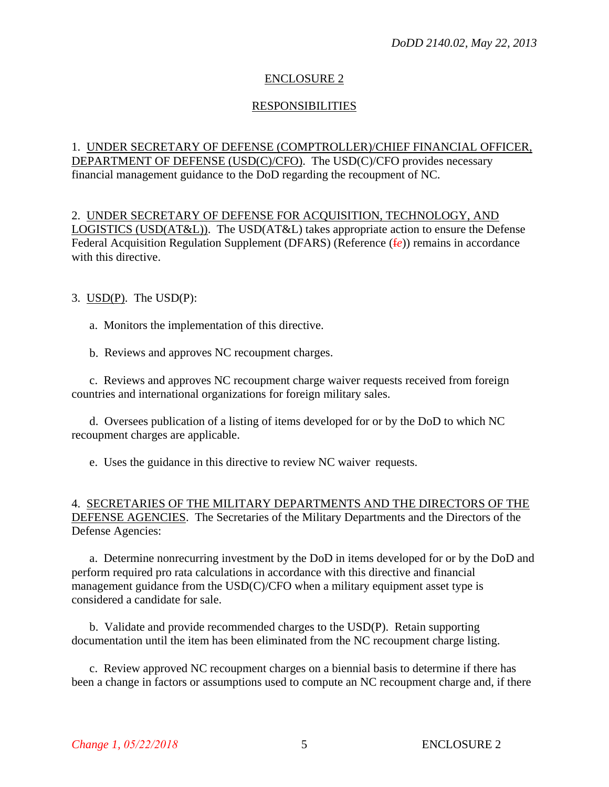# RESPONSIBILITIES

# 1. UNDER SECRETARY OF DEFENSE (COMPTROLLER)/CHIEF FINANCIAL OFFICER, DEPARTMENT OF DEFENSE (USD(C)/CFO). The USD(C)/CFO provides necessary financial management guidance to the DoD regarding the recoupment of NC.

2. UNDER SECRETARY OF DEFENSE FOR ACQUISITION, TECHNOLOGY, AND LOGISTICS (USD(AT&L)). The USD(AT&L) takes appropriate action to ensure the Defense Federal Acquisition Regulation Supplement (DFARS) (Reference (f*e*)) remains in accordance with this directive.

3. USD(P). The USD(P):

a. Monitors the implementation of this directive.

b. Reviews and approves NC recoupment charges.

c. Reviews and approves NC recoupment charge waiver requests received from foreign countries and international organizations for foreign military sales.

d. Oversees publication of a listing of items developed for or by the DoD to which NC recoupment charges are applicable.

e. Uses the guidance in this directive to review NC waiver requests.

#### 4. SECRETARIES OF THE MILITARY DEPARTMENTS AND THE DIRECTORS OF THE DEFENSE AGENCIES. The Secretaries of the Military Departments and the Directors of the Defense Agencies:

a. Determine nonrecurring investment by the DoD in items developed for or by the DoD and perform required pro rata calculations in accordance with this directive and financial management guidance from the USD(C)/CFO when a military equipment asset type is considered a candidate for sale.

b. Validate and provide recommended charges to the USD(P). Retain supporting documentation until the item has been eliminated from the NC recoupment charge listing.

c. Review approved NC recoupment charges on a biennial basis to determine if there has been a change in factors or assumptions used to compute an NC recoupment charge and, if there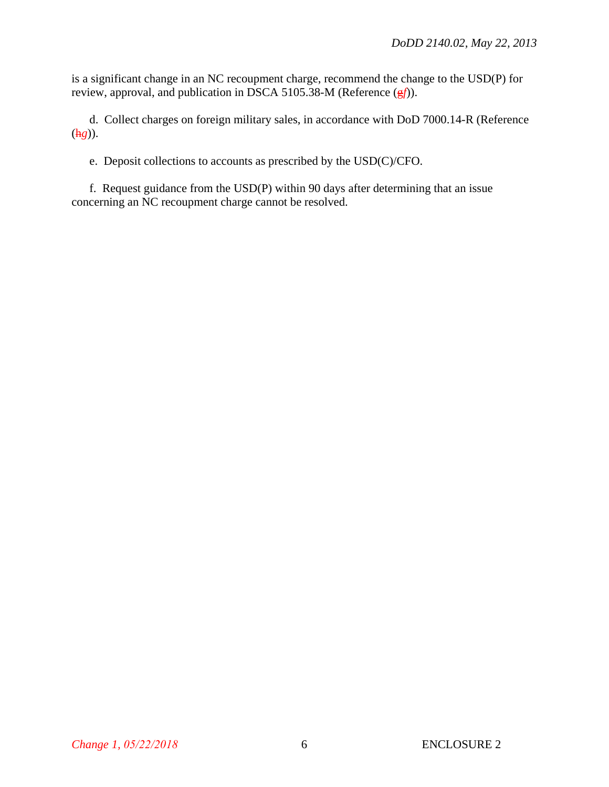is a significant change in an NC recoupment charge, recommend the change to the USD(P) for review, approval, and publication in DSCA 5105.38-M (Reference (g*f*)).

d. Collect charges on foreign military sales, in accordance with DoD 7000.14-R (Reference (h*g*)).

e. Deposit collections to accounts as prescribed by the USD(C)/CFO.

f. Request guidance from the USD(P) within 90 days after determining that an issue concerning an NC recoupment charge cannot be resolved.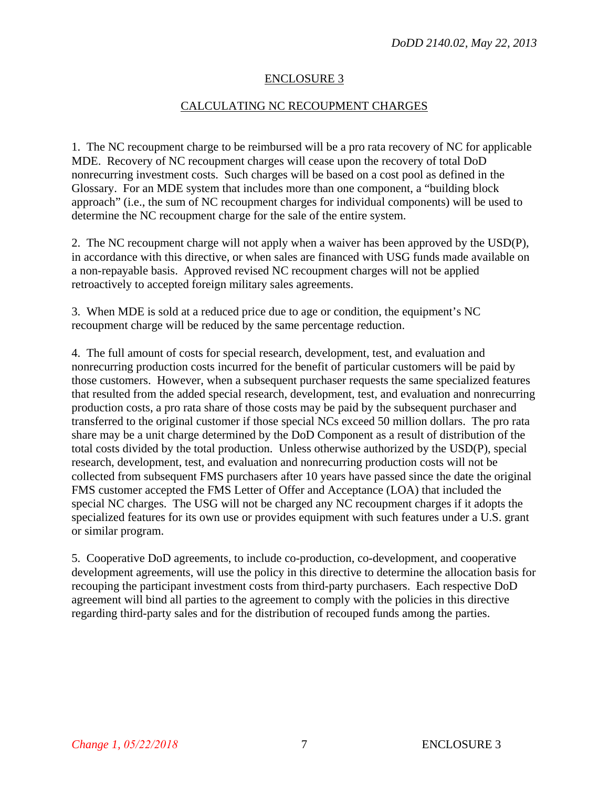#### CALCULATING NC RECOUPMENT CHARGES

1. The NC recoupment charge to be reimbursed will be a pro rata recovery of NC for applicable MDE. Recovery of NC recoupment charges will cease upon the recovery of total DoD nonrecurring investment costs. Such charges will be based on a cost pool as defined in the Glossary. For an MDE system that includes more than one component, a "building block approach" (i.e., the sum of NC recoupment charges for individual components) will be used to determine the NC recoupment charge for the sale of the entire system.

2. The NC recoupment charge will not apply when a waiver has been approved by the USD(P), in accordance with this directive, or when sales are financed with USG funds made available on a non-repayable basis. Approved revised NC recoupment charges will not be applied retroactively to accepted foreign military sales agreements.

3. When MDE is sold at a reduced price due to age or condition, the equipment's NC recoupment charge will be reduced by the same percentage reduction.

4. The full amount of costs for special research, development, test, and evaluation and nonrecurring production costs incurred for the benefit of particular customers will be paid by those customers. However, when a subsequent purchaser requests the same specialized features that resulted from the added special research, development, test, and evaluation and nonrecurring production costs, a pro rata share of those costs may be paid by the subsequent purchaser and transferred to the original customer if those special NCs exceed 50 million dollars. The pro rata share may be a unit charge determined by the DoD Component as a result of distribution of the total costs divided by the total production. Unless otherwise authorized by the USD(P), special research, development, test, and evaluation and nonrecurring production costs will not be collected from subsequent FMS purchasers after 10 years have passed since the date the original FMS customer accepted the FMS Letter of Offer and Acceptance (LOA) that included the special NC charges. The USG will not be charged any NC recoupment charges if it adopts the specialized features for its own use or provides equipment with such features under a U.S. grant or similar program.

5. Cooperative DoD agreements, to include co-production, co-development, and cooperative development agreements, will use the policy in this directive to determine the allocation basis for recouping the participant investment costs from third-party purchasers. Each respective DoD agreement will bind all parties to the agreement to comply with the policies in this directive regarding third-party sales and for the distribution of recouped funds among the parties.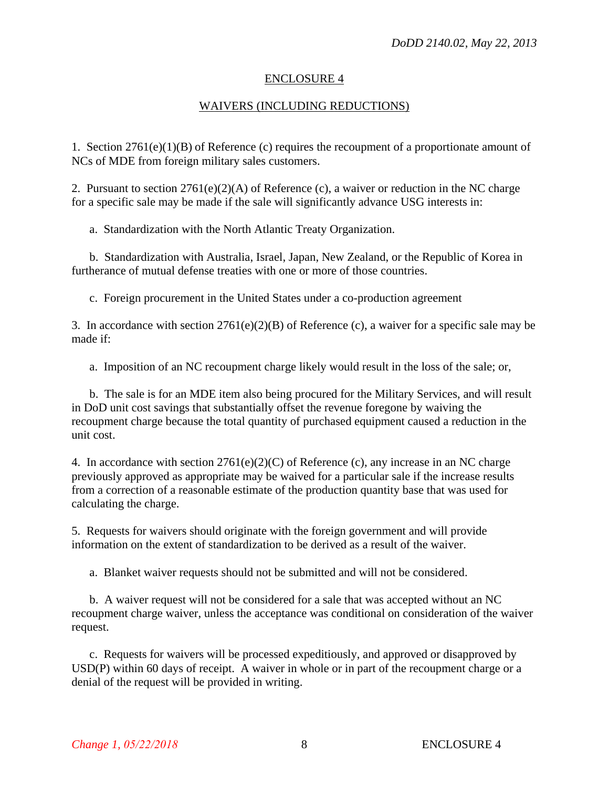#### WAIVERS (INCLUDING REDUCTIONS)

1. Section 2761(e)(1)(B) of Reference (c) requires the recoupment of a proportionate amount of NCs of MDE from foreign military sales customers.

2. Pursuant to section  $2761(e)(2)(A)$  of Reference (c), a waiver or reduction in the NC charge for a specific sale may be made if the sale will significantly advance USG interests in:

a. Standardization with the North Atlantic Treaty Organization.

b. Standardization with Australia, Israel, Japan, New Zealand, or the Republic of Korea in furtherance of mutual defense treaties with one or more of those countries.

c. Foreign procurement in the United States under a co-production agreement

3. In accordance with section  $2761(e)(2)(B)$  of Reference (c), a waiver for a specific sale may be made if:

a. Imposition of an NC recoupment charge likely would result in the loss of the sale; or,

b. The sale is for an MDE item also being procured for the Military Services, and will result in DoD unit cost savings that substantially offset the revenue foregone by waiving the recoupment charge because the total quantity of purchased equipment caused a reduction in the unit cost.

4. In accordance with section 2761(e)(2)(C) of Reference (c), any increase in an NC charge previously approved as appropriate may be waived for a particular sale if the increase results from a correction of a reasonable estimate of the production quantity base that was used for calculating the charge.

5. Requests for waivers should originate with the foreign government and will provide information on the extent of standardization to be derived as a result of the waiver.

a. Blanket waiver requests should not be submitted and will not be considered.

b. A waiver request will not be considered for a sale that was accepted without an NC recoupment charge waiver, unless the acceptance was conditional on consideration of the waiver request.

c. Requests for waivers will be processed expeditiously, and approved or disapproved by USD(P) within 60 days of receipt. A waiver in whole or in part of the recoupment charge or a denial of the request will be provided in writing.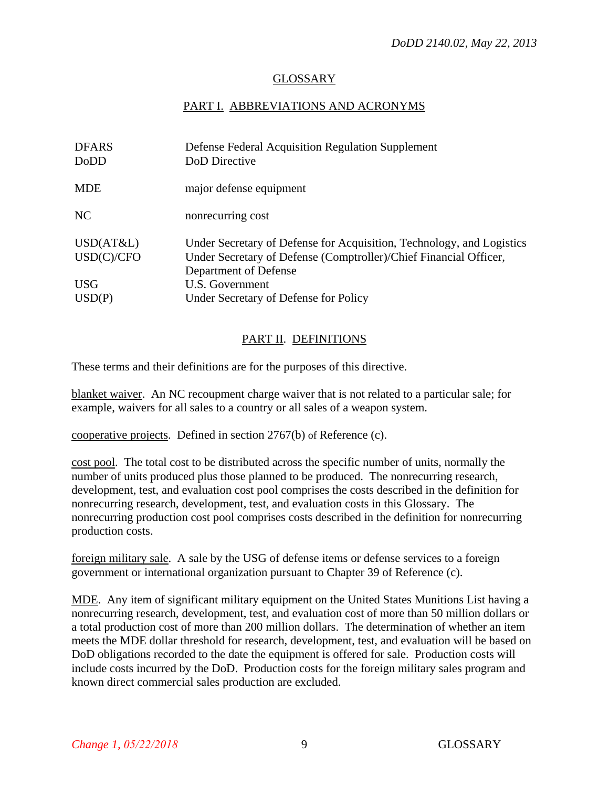## GLOSSARY

#### PART I. ABBREVIATIONS AND ACRONYMS

| <b>DFARS</b> | Defense Federal Acquisition Regulation Supplement                     |
|--------------|-----------------------------------------------------------------------|
| DoDD         | DoD Directive                                                         |
| <b>MDE</b>   | major defense equipment                                               |
| NC           | nonrecurring cost                                                     |
| USD(AT&L)    | Under Secretary of Defense for Acquisition, Technology, and Logistics |
| USD(C)/CFO   | Under Secretary of Defense (Comptroller)/Chief Financial Officer,     |
|              | Department of Defense                                                 |
| <b>USG</b>   | U.S. Government                                                       |
| USD(P)       | Under Secretary of Defense for Policy                                 |

#### PART II. DEFINITIONS

These terms and their definitions are for the purposes of this directive.

blanket waiver. An NC recoupment charge waiver that is not related to a particular sale; for example, waivers for all sales to a country or all sales of a weapon system.

cooperative projects. Defined in section 2767(b) of Reference (c).

cost pool. The total cost to be distributed across the specific number of units, normally the number of units produced plus those planned to be produced. The nonrecurring research, development, test, and evaluation cost pool comprises the costs described in the definition for nonrecurring research, development, test, and evaluation costs in this Glossary. The nonrecurring production cost pool comprises costs described in the definition for nonrecurring production costs.

foreign military sale. A sale by the USG of defense items or defense services to a foreign government or international organization pursuant to Chapter 39 of Reference (c).

MDE. Any item of significant military equipment on the United States Munitions List having a nonrecurring research, development, test, and evaluation cost of more than 50 million dollars or a total production cost of more than 200 million dollars. The determination of whether an item meets the MDE dollar threshold for research, development, test, and evaluation will be based on DoD obligations recorded to the date the equipment is offered for sale. Production costs will include costs incurred by the DoD. Production costs for the foreign military sales program and known direct commercial sales production are excluded.